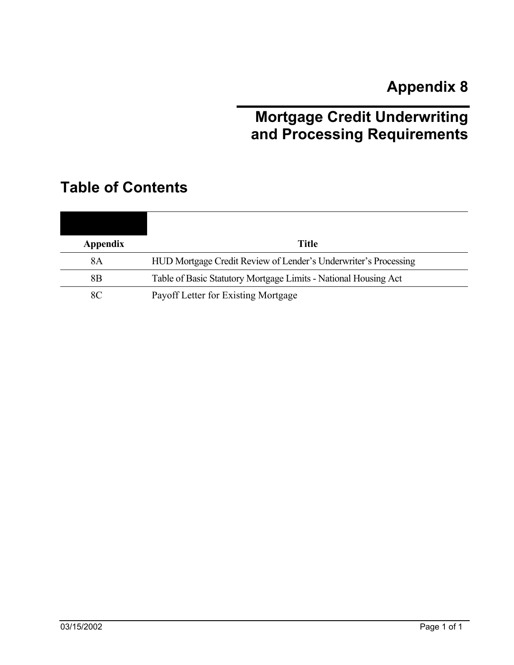# **Appendix 8**

# **Mortgage Credit Underwriting and Processing Requirements**

## **Table of Contents**

| <b>Appendix</b> | Title                                                           |
|-----------------|-----------------------------------------------------------------|
| 8A              | HUD Mortgage Credit Review of Lender's Underwriter's Processing |
| 8B              | Table of Basic Statutory Mortgage Limits - National Housing Act |
| 8C              | Payoff Letter for Existing Mortgage                             |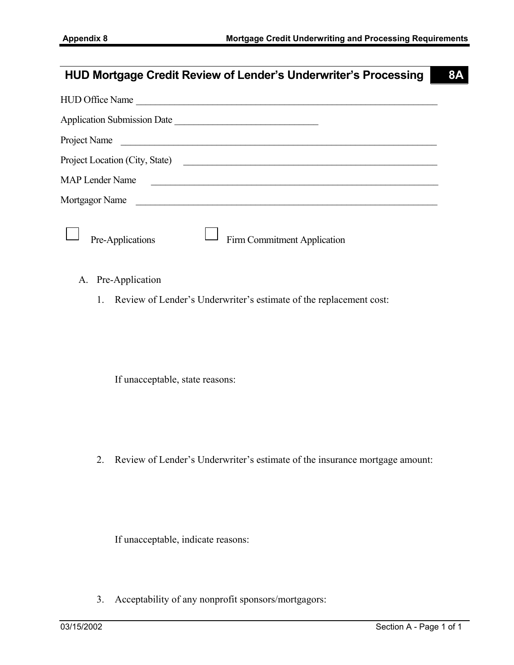# **HUD Mortgage Credit Review of Lender's Underwriter's Processing 8A**  HUD Office Name Application Submission Date Project Name Project Location (City, State) \_\_\_\_\_\_\_\_\_\_\_\_\_\_\_\_\_\_\_\_\_\_\_\_\_\_\_\_\_\_\_\_\_\_\_\_\_\_\_\_\_\_\_\_\_\_\_\_\_\_\_\_\_ MAP Lender Name Mortgagor Name Pre-Applications  $\Box$  Firm Commitment Application A. Pre-Application 1. Review of Lender's Underwriter's estimate of the replacement cost:

If unacceptable, state reasons:

2. Review of Lender's Underwriter's estimate of the insurance mortgage amount:

If unacceptable, indicate reasons:

3. Acceptability of any nonprofit sponsors/mortgagors: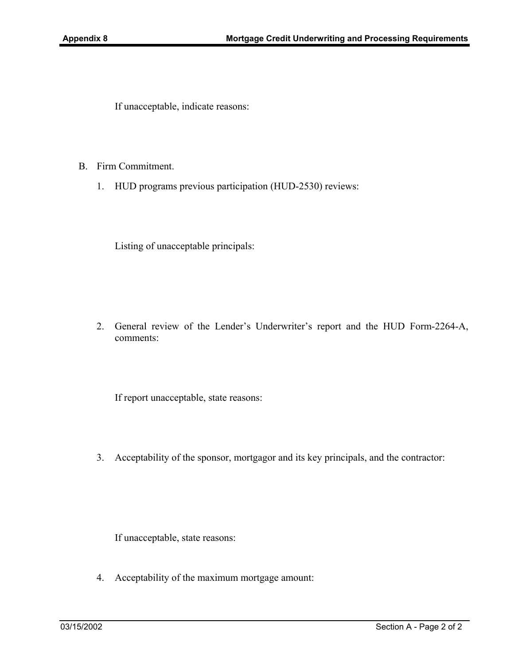If unacceptable, indicate reasons:

- B. Firm Commitment.
	- 1. HUD programs previous participation (HUD-2530) reviews:

Listing of unacceptable principals:

2. General review of the Lender's Underwriter's report and the HUD Form-2264-A, comments:

If report unacceptable, state reasons:

3. Acceptability of the sponsor, mortgagor and its key principals, and the contractor:

If unacceptable, state reasons:

4. Acceptability of the maximum mortgage amount: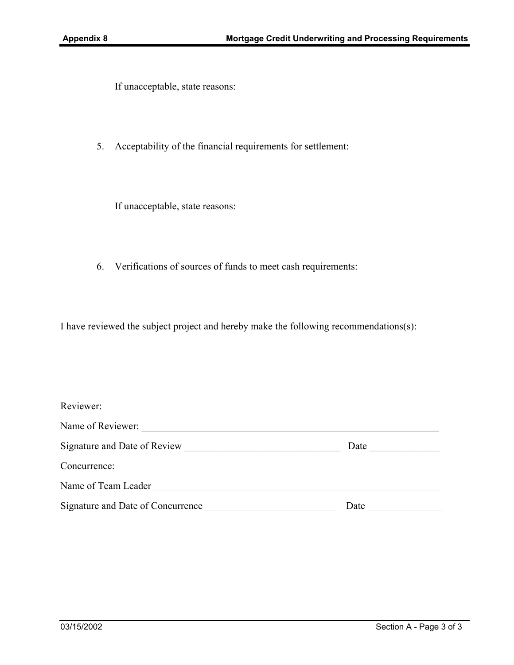If unacceptable, state reasons:

5. Acceptability of the financial requirements for settlement:

If unacceptable, state reasons:

6. Verifications of sources of funds to meet cash requirements:

I have reviewed the subject project and hereby make the following recommendations(s):

| Reviewer:                         |      |
|-----------------------------------|------|
| Name of Reviewer:                 |      |
| Signature and Date of Review      | Date |
| Concurrence:                      |      |
| Name of Team Leader               |      |
| Signature and Date of Concurrence | Date |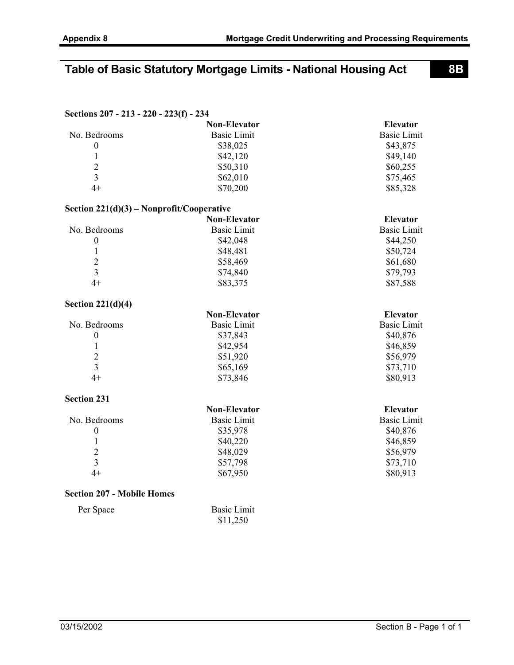**Sections 207 - 213 - 220 - 223(f) - 234** 

## **Table of Basic Statutory Mortgage Limits - National Housing Act 8B**

|                                             | <b>Non-Elevator</b> | <b>Elevator</b>    |
|---------------------------------------------|---------------------|--------------------|
| No. Bedrooms                                | <b>Basic Limit</b>  | <b>Basic Limit</b> |
| $\boldsymbol{0}$                            | \$38,025            | \$43,875           |
| 1                                           | \$42,120            | \$49,140           |
|                                             | \$50,310            | \$60,255           |
| $\frac{2}{3}$                               | \$62,010            | \$75,465           |
| $4+$                                        | \$70,200            | \$85,328           |
| Section $221(d)(3)$ – Nonprofit/Cooperative |                     |                    |
|                                             | <b>Non-Elevator</b> | <b>Elevator</b>    |
| No. Bedrooms                                | <b>Basic Limit</b>  | <b>Basic Limit</b> |
| $\boldsymbol{0}$                            | \$42,048            | \$44,250           |
| 1                                           | \$48,481            | \$50,724           |
| $\overline{2}$                              | \$58,469            | \$61,680           |
| $\overline{3}$                              | \$74,840            | \$79,793           |
| $4+$                                        | \$83,375            | \$87,588           |
| Section $221(d)(4)$                         |                     |                    |
|                                             | <b>Non-Elevator</b> | <b>Elevator</b>    |
| No. Bedrooms                                | <b>Basic Limit</b>  | <b>Basic Limit</b> |
| $\boldsymbol{0}$                            | \$37,843            | \$40,876           |
| $\mathbf{1}$                                | \$42,954            | \$46,859           |
| $\overline{c}$                              | \$51,920            | \$56,979           |
| $\overline{3}$                              | \$65,169            | \$73,710           |
| $4+$                                        | \$73,846            | \$80,913           |
| <b>Section 231</b>                          |                     |                    |
|                                             | <b>Non-Elevator</b> | <b>Elevator</b>    |
| No. Bedrooms                                | <b>Basic Limit</b>  | <b>Basic Limit</b> |
| $\boldsymbol{0}$                            | \$35,978            | \$40,876           |
| 1                                           | \$40,220            | \$46,859           |
| $\overline{2}$                              | \$48,029            | \$56,979           |

3 \$57,798 \$73,710 4+  $$67,950$   $$80,913$ 

### **Section 207 - Mobile Homes**

| Per Space | <b>Basic Limit</b> |
|-----------|--------------------|
|           | \$11,250           |